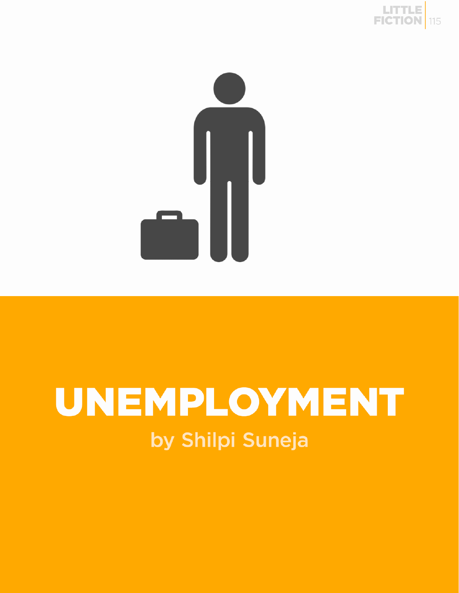



## UNEMPLOYMENT by Shilpi Suneja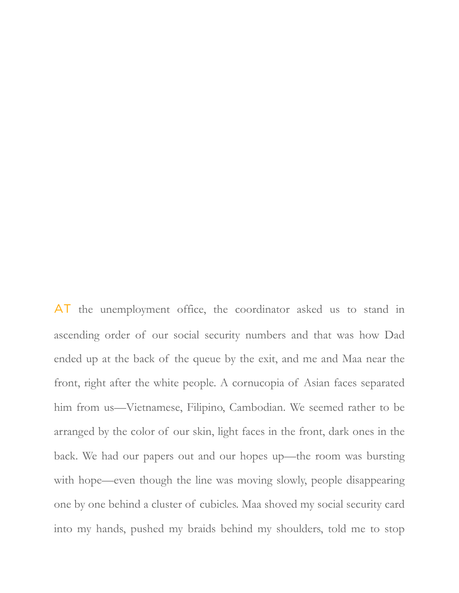AT the unemployment office, the coordinator asked us to stand in ascending order of our social security numbers and that was how Dad ended up at the back of the queue by the exit, and me and Maa near the front, right after the white people. A cornucopia of Asian faces separated him from us—Vietnamese, Filipino, Cambodian. We seemed rather to be arranged by the color of our skin, light faces in the front, dark ones in the back. We had our papers out and our hopes up—the room was bursting with hope—even though the line was moving slowly, people disappearing one by one behind a cluster of cubicles. Maa shoved my social security card into my hands, pushed my braids behind my shoulders, told me to stop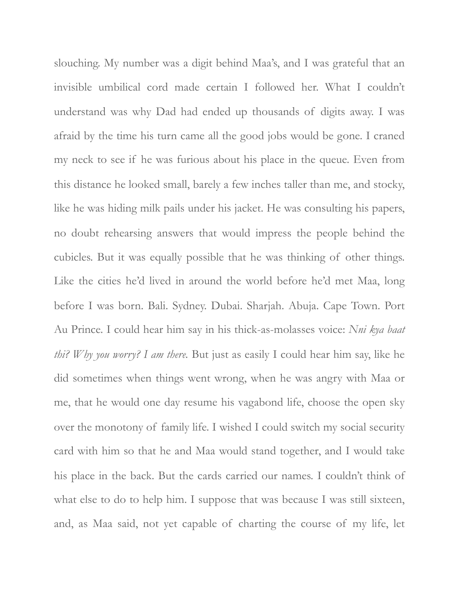slouching. My number was a digit behind Maa's, and I was grateful that an invisible umbilical cord made certain I followed her. What I couldn't understand was why Dad had ended up thousands of digits away. I was afraid by the time his turn came all the good jobs would be gone. I craned my neck to see if he was furious about his place in the queue. Even from this distance he looked small, barely a few inches taller than me, and stocky, like he was hiding milk pails under his jacket. He was consulting his papers, no doubt rehearsing answers that would impress the people behind the cubicles. But it was equally possible that he was thinking of other things. Like the cities he'd lived in around the world before he'd met Maa, long before I was born. Bali. Sydney. Dubai. Sharjah. Abuja. Cape Town. Port Au Prince. I could hear him say in his thick-as-molasses voice: *Nni kya baat thi? Why you worry? I am there.* But just as easily I could hear him say, like he did sometimes when things went wrong, when he was angry with Maa or me, that he would one day resume his vagabond life, choose the open sky over the monotony of family life. I wished I could switch my social security card with him so that he and Maa would stand together, and I would take his place in the back. But the cards carried our names. I couldn't think of what else to do to help him. I suppose that was because I was still sixteen, and, as Maa said, not yet capable of charting the course of my life, let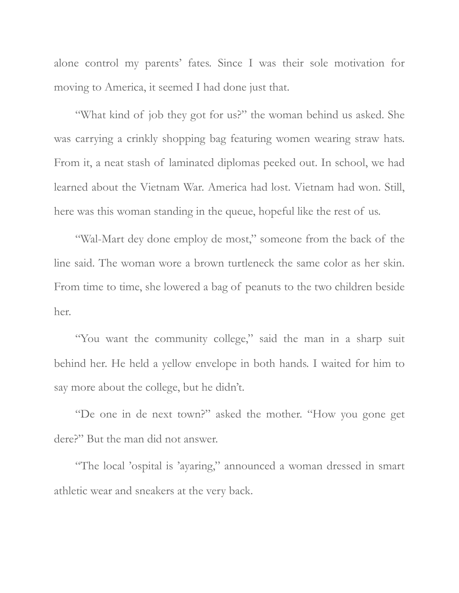alone control my parents' fates. Since I was their sole motivation for moving to America, it seemed I had done just that.

"What kind of job they got for us?" the woman behind us asked. She was carrying a crinkly shopping bag featuring women wearing straw hats. From it, a neat stash of laminated diplomas peeked out. In school, we had learned about the Vietnam War. America had lost. Vietnam had won. Still, here was this woman standing in the queue, hopeful like the rest of us.

"Wal-Mart dey done employ de most," someone from the back of the line said. The woman wore a brown turtleneck the same color as her skin. From time to time, she lowered a bag of peanuts to the two children beside her.

"You want the community college," said the man in a sharp suit behind her. He held a yellow envelope in both hands. I waited for him to say more about the college, but he didn't.

"De one in de next town?" asked the mother. "How you gone get dere?" But the man did not answer.

"The local 'ospital is 'ayaring," announced a woman dressed in smart athletic wear and sneakers at the very back.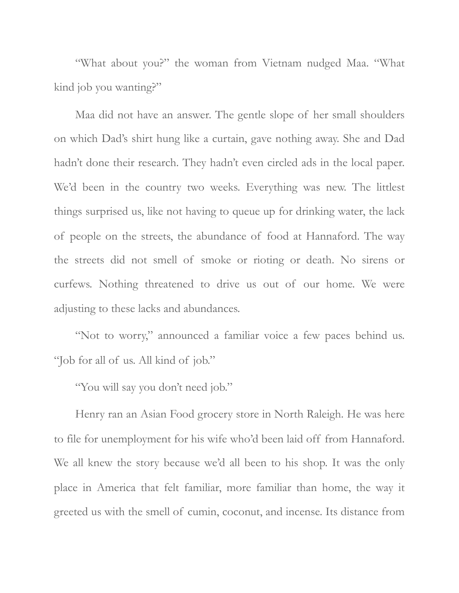"What about you?" the woman from Vietnam nudged Maa. "What kind job you wanting?"

Maa did not have an answer. The gentle slope of her small shoulders on which Dad's shirt hung like a curtain, gave nothing away. She and Dad hadn't done their research. They hadn't even circled ads in the local paper. We'd been in the country two weeks. Everything was new. The littlest things surprised us, like not having to queue up for drinking water, the lack of people on the streets, the abundance of food at Hannaford. The way the streets did not smell of smoke or rioting or death. No sirens or curfews. Nothing threatened to drive us out of our home. We were adjusting to these lacks and abundances.

"Not to worry," announced a familiar voice a few paces behind us. "Job for all of us. All kind of job."

"You will say you don't need job."

Henry ran an Asian Food grocery store in North Raleigh. He was here to file for unemployment for his wife who'd been laid off from Hannaford. We all knew the story because we'd all been to his shop. It was the only place in America that felt familiar, more familiar than home, the way it greeted us with the smell of cumin, coconut, and incense. Its distance from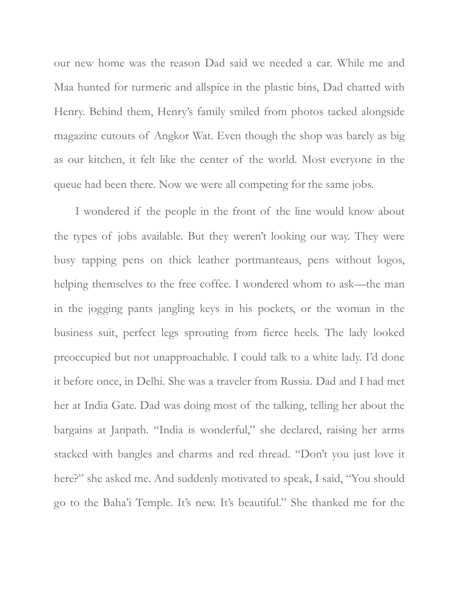our new home was the reason Dad said we needed a car. While me and Maa hunted for turmeric and allspice in the plastic bins, Dad chatted with Henry. Behind them, Henry's family smiled from photos tacked alongside magazine cutouts of Angkor Wat. Even though the shop was barely as big as our kitchen, it felt like the center of the world. Most everyone in the queue had been there. Now we were all competing for the same jobs.

I wondered if the people in the front of the line would know about the types of jobs available. But they weren't looking our way. They were busy tapping pens on thick leather portmanteaus, pens without logos, helping themselves to the free coffee. I wondered whom to ask—the man in the jogging pants jangling keys in his pockets, or the woman in the business suit, perfect legs sprouting from fierce heels. The lady looked preoccupied but not unapproachable. I could talk to a white lady. I'd done it before once, in Delhi. She was a traveler from Russia. Dad and I had met her at India Gate. Dad was doing most of the talking, telling her about the bargains at Janpath. "India is wonderful," she declared, raising her arms stacked with bangles and charms and red thread. "Don't you just love it here?" she asked me. And suddenly motivated to speak, I said, "You should go to the Baha'i Temple. It's new. It's beautiful." She thanked me for the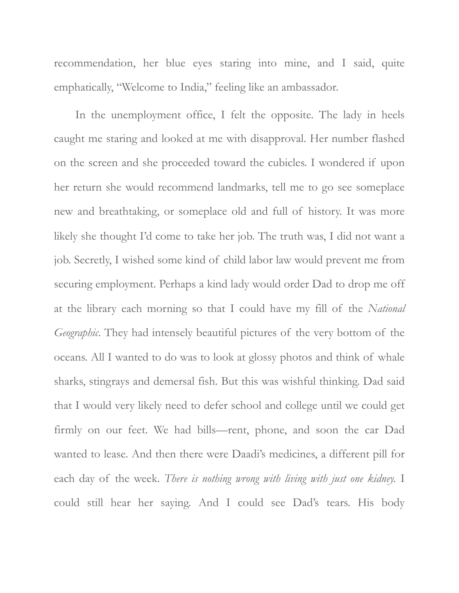recommendation, her blue eyes staring into mine, and I said, quite emphatically, "Welcome to India," feeling like an ambassador.

In the unemployment office, I felt the opposite. The lady in heels caught me staring and looked at me with disapproval. Her number flashed on the screen and she proceeded toward the cubicles. I wondered if upon her return she would recommend landmarks, tell me to go see someplace new and breathtaking, or someplace old and full of history. It was more likely she thought I'd come to take her job. The truth was, I did not want a job. Secretly, I wished some kind of child labor law would prevent me from securing employment. Perhaps a kind lady would order Dad to drop me off at the library each morning so that I could have my fill of the *National Geographic*. They had intensely beautiful pictures of the very bottom of the oceans. All I wanted to do was to look at glossy photos and think of whale sharks, stingrays and demersal fish. But this was wishful thinking. Dad said that I would very likely need to defer school and college until we could get firmly on our feet. We had bills—rent, phone, and soon the car Dad wanted to lease. And then there were Daadi's medicines, a different pill for each day of the week. *There is nothing wrong with living with just one kidney.* I could still hear her saying. And I could see Dad's tears. His body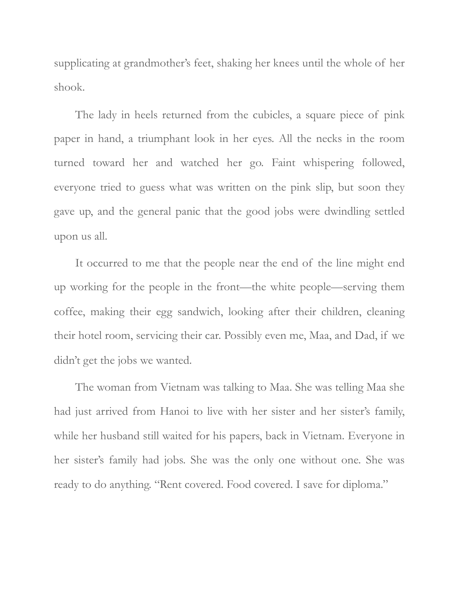supplicating at grandmother's feet, shaking her knees until the whole of her shook.

The lady in heels returned from the cubicles, a square piece of pink paper in hand, a triumphant look in her eyes. All the necks in the room turned toward her and watched her go. Faint whispering followed, everyone tried to guess what was written on the pink slip, but soon they gave up, and the general panic that the good jobs were dwindling settled upon us all.

It occurred to me that the people near the end of the line might end up working for the people in the front—the white people—serving them coffee, making their egg sandwich, looking after their children, cleaning their hotel room, servicing their car. Possibly even me, Maa, and Dad, if we didn't get the jobs we wanted.

The woman from Vietnam was talking to Maa. She was telling Maa she had just arrived from Hanoi to live with her sister and her sister's family, while her husband still waited for his papers, back in Vietnam. Everyone in her sister's family had jobs. She was the only one without one. She was ready to do anything. "Rent covered. Food covered. I save for diploma."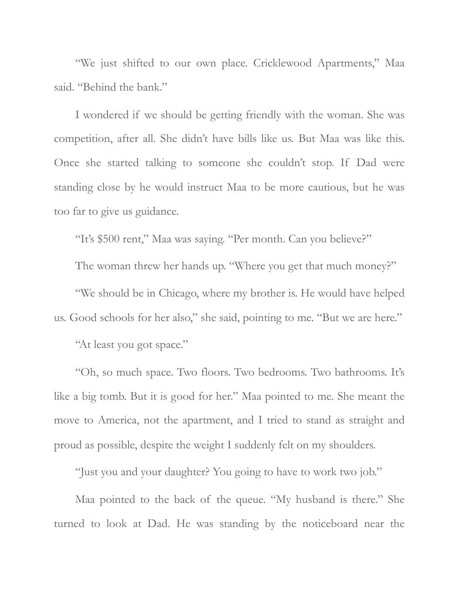"We just shifted to our own place. Cricklewood Apartments," Maa said. "Behind the bank."

I wondered if we should be getting friendly with the woman. She was competition, after all. She didn't have bills like us. But Maa was like this. Once she started talking to someone she couldn't stop. If Dad were standing close by he would instruct Maa to be more cautious, but he was too far to give us guidance.

"It's \$500 rent," Maa was saying. "Per month. Can you believe?"

The woman threw her hands up. "Where you get that much money?"

"We should be in Chicago, where my brother is. He would have helped us. Good schools for her also," she said, pointing to me. "But we are here."

"At least you got space."

"Oh, so much space. Two floors. Two bedrooms. Two bathrooms. It's like a big tomb. But it is good for her." Maa pointed to me. She meant the move to America, not the apartment, and I tried to stand as straight and proud as possible, despite the weight I suddenly felt on my shoulders.

"Just you and your daughter? You going to have to work two job."

Maa pointed to the back of the queue. "My husband is there." She turned to look at Dad. He was standing by the noticeboard near the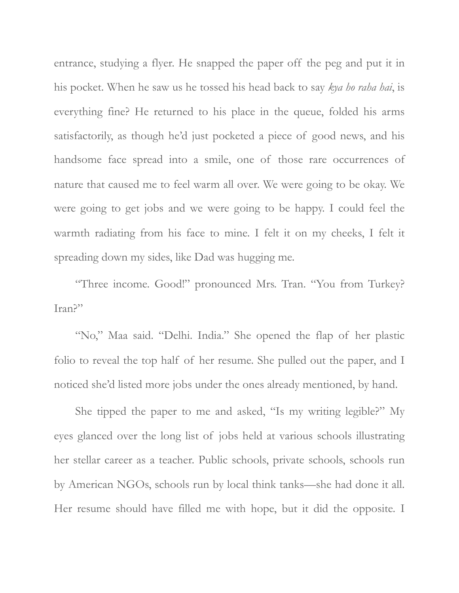entrance, studying a flyer. He snapped the paper off the peg and put it in his pocket. When he saw us he tossed his head back to say *kya ho raha hai*, is everything fine? He returned to his place in the queue, folded his arms satisfactorily, as though he'd just pocketed a piece of good news, and his handsome face spread into a smile, one of those rare occurrences of nature that caused me to feel warm all over. We were going to be okay. We were going to get jobs and we were going to be happy. I could feel the warmth radiating from his face to mine. I felt it on my cheeks, I felt it spreading down my sides, like Dad was hugging me.

"Three income. Good!" pronounced Mrs. Tran. "You from Turkey? Iran?"

"No," Maa said. "Delhi. India." She opened the flap of her plastic folio to reveal the top half of her resume. She pulled out the paper, and I noticed she'd listed more jobs under the ones already mentioned, by hand.

She tipped the paper to me and asked, "Is my writing legible?" My eyes glanced over the long list of jobs held at various schools illustrating her stellar career as a teacher. Public schools, private schools, schools run by American NGOs, schools run by local think tanks—she had done it all. Her resume should have filled me with hope, but it did the opposite. I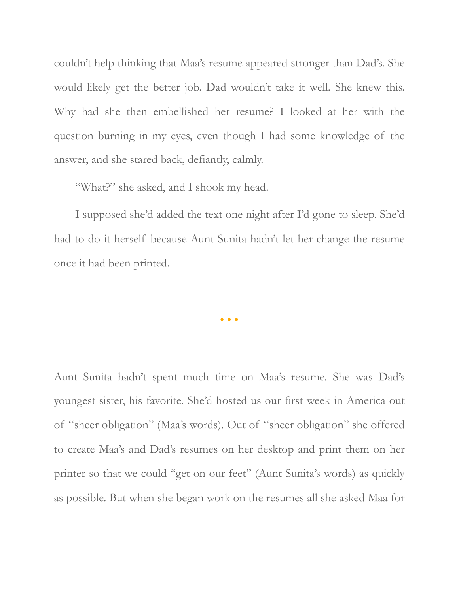couldn't help thinking that Maa's resume appeared stronger than Dad's. She would likely get the better job. Dad wouldn't take it well. She knew this. Why had she then embellished her resume? I looked at her with the question burning in my eyes, even though I had some knowledge of the answer, and she stared back, defiantly, calmly.

"What?" she asked, and I shook my head.

I supposed she'd added the text one night after I'd gone to sleep. She'd had to do it herself because Aunt Sunita hadn't let her change the resume once it had been printed.

• • •

Aunt Sunita hadn't spent much time on Maa's resume. She was Dad's youngest sister, his favorite. She'd hosted us our first week in America out of "sheer obligation" (Maa's words). Out of "sheer obligation" she offered to create Maa's and Dad's resumes on her desktop and print them on her printer so that we could "get on our feet" (Aunt Sunita's words) as quickly as possible. But when she began work on the resumes all she asked Maa for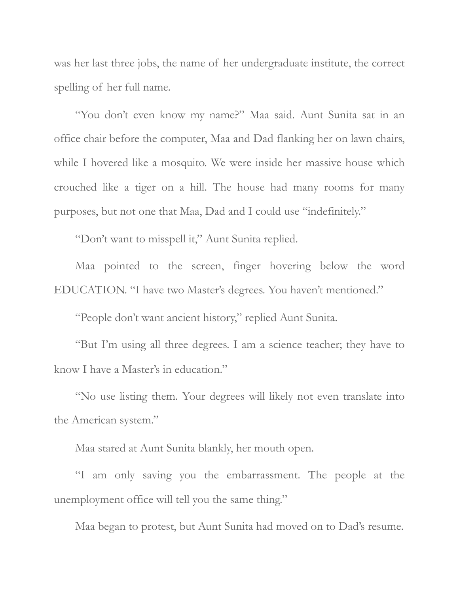was her last three jobs, the name of her undergraduate institute, the correct spelling of her full name.

"You don't even know my name?" Maa said. Aunt Sunita sat in an office chair before the computer, Maa and Dad flanking her on lawn chairs, while I hovered like a mosquito. We were inside her massive house which crouched like a tiger on a hill. The house had many rooms for many purposes, but not one that Maa, Dad and I could use "indefinitely."

"Don't want to misspell it," Aunt Sunita replied.

Maa pointed to the screen, finger hovering below the word EDUCATION. "I have two Master's degrees. You haven't mentioned."

"People don't want ancient history," replied Aunt Sunita.

"But I'm using all three degrees. I am a science teacher; they have to know I have a Master's in education."

"No use listing them. Your degrees will likely not even translate into the American system."

Maa stared at Aunt Sunita blankly, her mouth open.

"I am only saving you the embarrassment. The people at the unemployment office will tell you the same thing."

Maa began to protest, but Aunt Sunita had moved on to Dad's resume.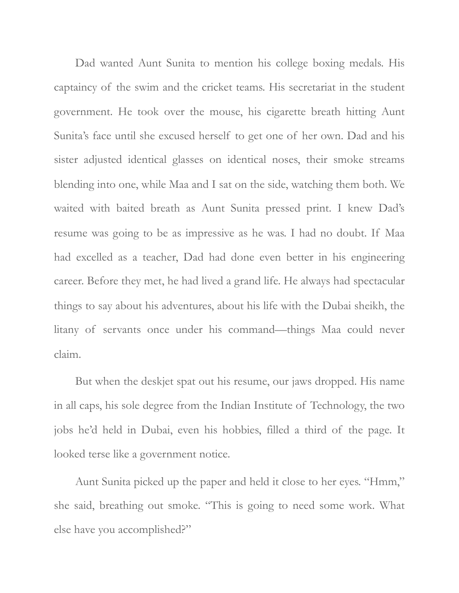Dad wanted Aunt Sunita to mention his college boxing medals. His captaincy of the swim and the cricket teams. His secretariat in the student government. He took over the mouse, his cigarette breath hitting Aunt Sunita's face until she excused herself to get one of her own. Dad and his sister adjusted identical glasses on identical noses, their smoke streams blending into one, while Maa and I sat on the side, watching them both. We waited with baited breath as Aunt Sunita pressed print. I knew Dad's resume was going to be as impressive as he was. I had no doubt. If Maa had excelled as a teacher, Dad had done even better in his engineering career. Before they met, he had lived a grand life. He always had spectacular things to say about his adventures, about his life with the Dubai sheikh, the litany of servants once under his command—things Maa could never claim.

But when the deskjet spat out his resume, our jaws dropped. His name in all caps, his sole degree from the Indian Institute of Technology, the two jobs he'd held in Dubai, even his hobbies, filled a third of the page. It looked terse like a government notice.

Aunt Sunita picked up the paper and held it close to her eyes. "Hmm," she said, breathing out smoke. "This is going to need some work. What else have you accomplished?"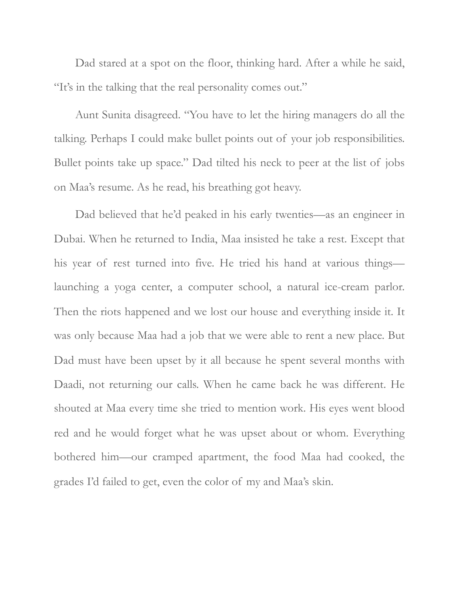Dad stared at a spot on the floor, thinking hard. After a while he said, "It's in the talking that the real personality comes out."

Aunt Sunita disagreed. "You have to let the hiring managers do all the talking. Perhaps I could make bullet points out of your job responsibilities. Bullet points take up space." Dad tilted his neck to peer at the list of jobs on Maa's resume. As he read, his breathing got heavy.

Dad believed that he'd peaked in his early twenties—as an engineer in Dubai. When he returned to India, Maa insisted he take a rest. Except that his year of rest turned into five. He tried his hand at various things launching a yoga center, a computer school, a natural ice-cream parlor. Then the riots happened and we lost our house and everything inside it. It was only because Maa had a job that we were able to rent a new place. But Dad must have been upset by it all because he spent several months with Daadi, not returning our calls. When he came back he was different. He shouted at Maa every time she tried to mention work. His eyes went blood red and he would forget what he was upset about or whom. Everything bothered him—our cramped apartment, the food Maa had cooked, the grades I'd failed to get, even the color of my and Maa's skin.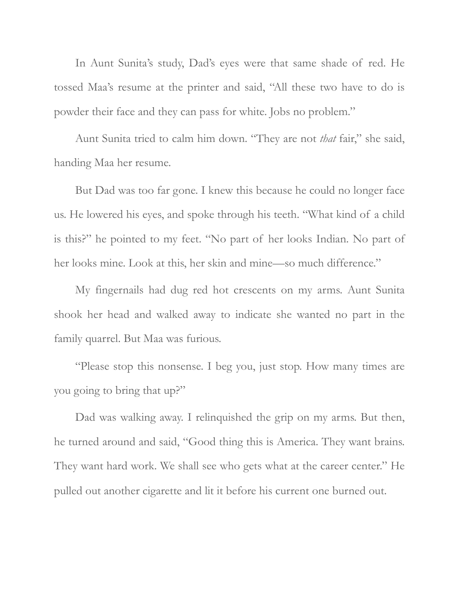In Aunt Sunita's study, Dad's eyes were that same shade of red. He tossed Maa's resume at the printer and said, "All these two have to do is powder their face and they can pass for white. Jobs no problem."

Aunt Sunita tried to calm him down. "They are not *that* fair," she said, handing Maa her resume.

But Dad was too far gone. I knew this because he could no longer face us. He lowered his eyes, and spoke through his teeth. "What kind of a child is this?" he pointed to my feet. "No part of her looks Indian. No part of her looks mine. Look at this, her skin and mine—so much difference."

My fingernails had dug red hot crescents on my arms. Aunt Sunita shook her head and walked away to indicate she wanted no part in the family quarrel. But Maa was furious.

"Please stop this nonsense. I beg you, just stop. How many times are you going to bring that up?"

Dad was walking away. I relinquished the grip on my arms. But then, he turned around and said, "Good thing this is America. They want brains. They want hard work. We shall see who gets what at the career center." He pulled out another cigarette and lit it before his current one burned out.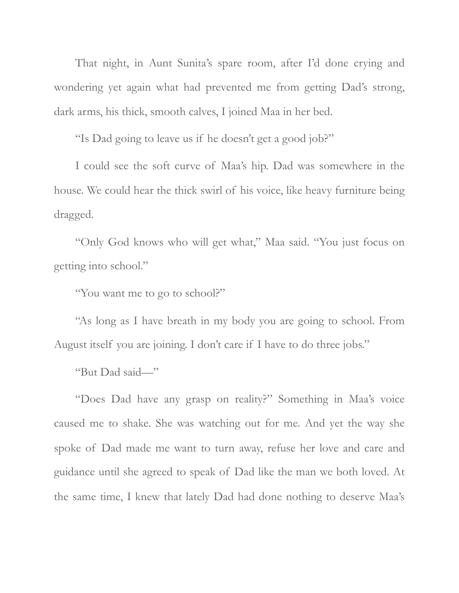That night, in Aunt Sunita's spare room, after I'd done crying and wondering yet again what had prevented me from getting Dad's strong, dark arms, his thick, smooth calves, I joined Maa in her bed.

"Is Dad going to leave us if he doesn't get a good job?"

I could see the soft curve of Maa's hip. Dad was somewhere in the house. We could hear the thick swirl of his voice, like heavy furniture being dragged.

"Only God knows who will get what," Maa said. "You just focus on getting into school."

"You want me to go to school?"

"As long as I have breath in my body you are going to school. From August itself you are joining. I don't care if I have to do three jobs."

"But Dad said—"

"Does Dad have any grasp on reality?" Something in Maa's voice caused me to shake. She was watching out for me. And yet the way she spoke of Dad made me want to turn away, refuse her love and care and guidance until she agreed to speak of Dad like the man we both loved. At the same time, I knew that lately Dad had done nothing to deserve Maa's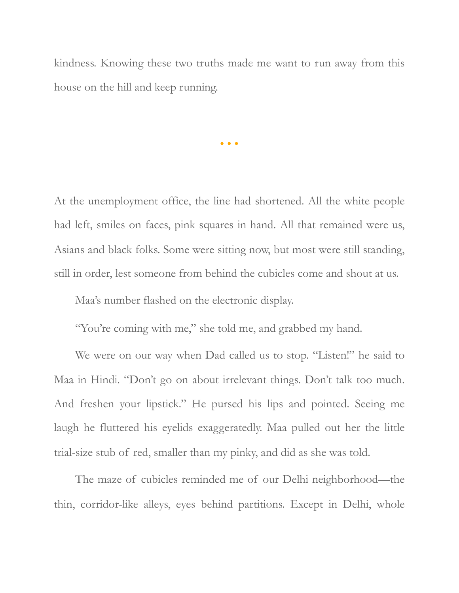kindness. Knowing these two truths made me want to run away from this house on the hill and keep running.

• • •

At the unemployment office, the line had shortened. All the white people had left, smiles on faces, pink squares in hand. All that remained were us, Asians and black folks. Some were sitting now, but most were still standing, still in order, lest someone from behind the cubicles come and shout at us.

Maa's number flashed on the electronic display.

"You're coming with me," she told me, and grabbed my hand.

We were on our way when Dad called us to stop. "Listen!" he said to Maa in Hindi. "Don't go on about irrelevant things. Don't talk too much. And freshen your lipstick." He pursed his lips and pointed. Seeing me laugh he fluttered his eyelids exaggeratedly. Maa pulled out her the little trial-size stub of red, smaller than my pinky, and did as she was told.

The maze of cubicles reminded me of our Delhi neighborhood—the thin, corridor-like alleys, eyes behind partitions. Except in Delhi, whole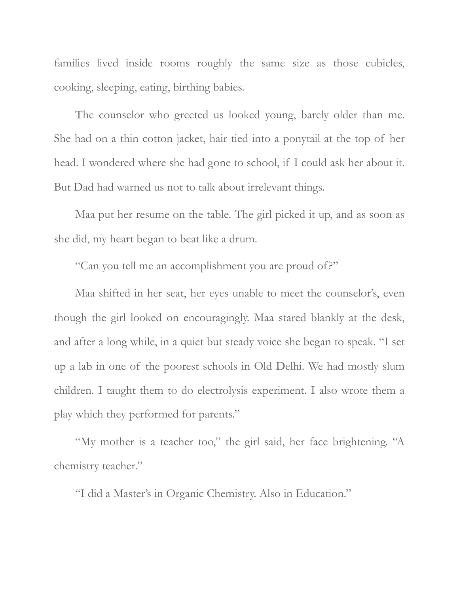families lived inside rooms roughly the same size as those cubicles, cooking, sleeping, eating, birthing babies.

The counselor who greeted us looked young, barely older than me. She had on a thin cotton jacket, hair tied into a ponytail at the top of her head. I wondered where she had gone to school, if I could ask her about it. But Dad had warned us not to talk about irrelevant things.

Maa put her resume on the table. The girl picked it up, and as soon as she did, my heart began to beat like a drum.

"Can you tell me an accomplishment you are proud of?"

Maa shifted in her seat, her eyes unable to meet the counselor's, even though the girl looked on encouragingly. Maa stared blankly at the desk, and after a long while, in a quiet but steady voice she began to speak. "I set up a lab in one of the poorest schools in Old Delhi. We had mostly slum children. I taught them to do electrolysis experiment. I also wrote them a play which they performed for parents."

"My mother is a teacher too," the girl said, her face brightening. "A chemistry teacher."

"I did a Master's in Organic Chemistry. Also in Education."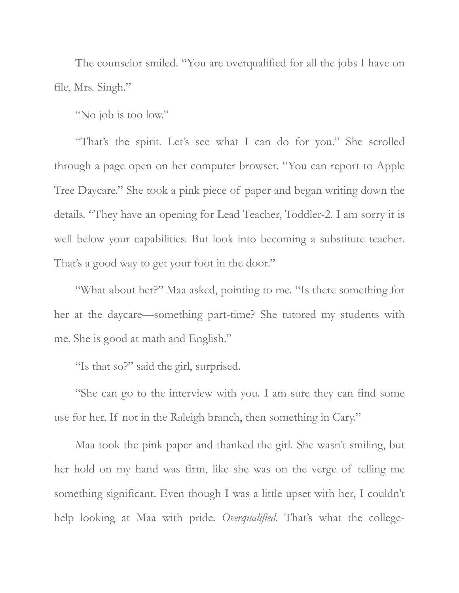The counselor smiled. "You are overqualified for all the jobs I have on file, Mrs. Singh."

"No job is too low."

"That's the spirit. Let's see what I can do for you." She scrolled through a page open on her computer browser. "You can report to Apple Tree Daycare." She took a pink piece of paper and began writing down the details. "They have an opening for Lead Teacher, Toddler-2. I am sorry it is well below your capabilities. But look into becoming a substitute teacher. That's a good way to get your foot in the door."

"What about her?" Maa asked, pointing to me. "Is there something for her at the daycare—something part-time? She tutored my students with me. She is good at math and English."

"Is that so?" said the girl, surprised.

"She can go to the interview with you. I am sure they can find some use for her. If not in the Raleigh branch, then something in Cary."

Maa took the pink paper and thanked the girl. She wasn't smiling, but her hold on my hand was firm, like she was on the verge of telling me something significant. Even though I was a little upset with her, I couldn't help looking at Maa with pride. *Overqualified*. That's what the college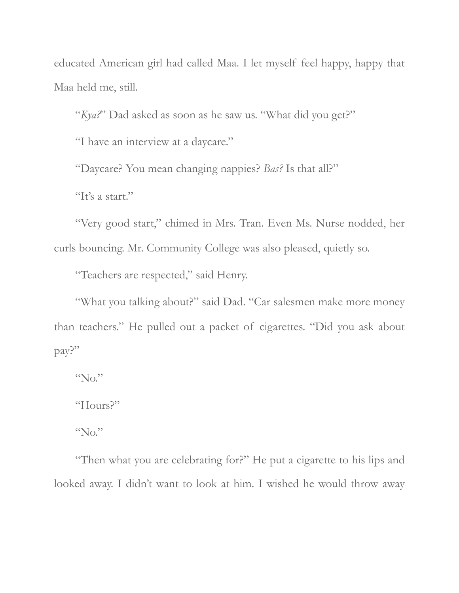educated American girl had called Maa. I let myself feel happy, happy that Maa held me, still.

"*Kya?*" Dad asked as soon as he saw us. "What did you get?"

"I have an interview at a daycare."

"Daycare? You mean changing nappies? *Bas?* Is that all?"

"It's a start."

"Very good start," chimed in Mrs. Tran. Even Ms. Nurse nodded, her curls bouncing. Mr. Community College was also pleased, quietly so.

"Teachers are respected," said Henry.

"What you talking about?" said Dad. "Car salesmen make more money than teachers." He pulled out a packet of cigarettes. "Did you ask about pay?"

 $\Omega_{\rm CO}$ "

"Hours?"

"No."

"Then what you are celebrating for?" He put a cigarette to his lips and looked away. I didn't want to look at him. I wished he would throw away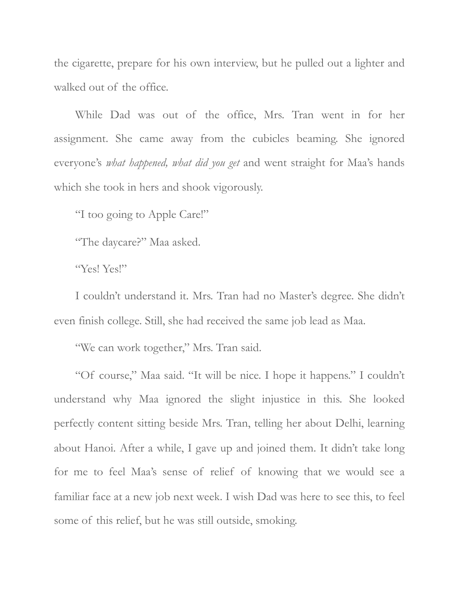the cigarette, prepare for his own interview, but he pulled out a lighter and walked out of the office.

While Dad was out of the office, Mrs. Tran went in for her assignment. She came away from the cubicles beaming. She ignored everyone's *what happened, what did you get* and went straight for Maa's hands which she took in hers and shook vigorously.

"I too going to Apple Care!"

"The daycare?" Maa asked.

"Yes! Yes!"

I couldn't understand it. Mrs. Tran had no Master's degree. She didn't even finish college. Still, she had received the same job lead as Maa.

"We can work together," Mrs. Tran said.

"Of course," Maa said. "It will be nice. I hope it happens." I couldn't understand why Maa ignored the slight injustice in this. She looked perfectly content sitting beside Mrs. Tran, telling her about Delhi, learning about Hanoi. After a while, I gave up and joined them. It didn't take long for me to feel Maa's sense of relief of knowing that we would see a familiar face at a new job next week. I wish Dad was here to see this, to feel some of this relief, but he was still outside, smoking.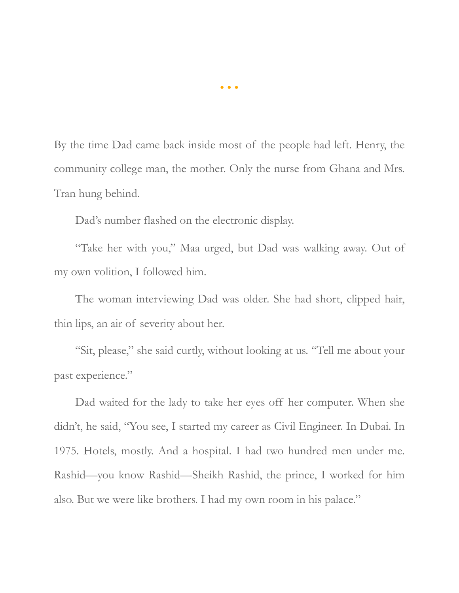By the time Dad came back inside most of the people had left. Henry, the community college man, the mother. Only the nurse from Ghana and Mrs. Tran hung behind.

Dad's number flashed on the electronic display.

"Take her with you," Maa urged, but Dad was walking away. Out of my own volition, I followed him.

The woman interviewing Dad was older. She had short, clipped hair, thin lips, an air of severity about her.

"Sit, please," she said curtly, without looking at us. "Tell me about your past experience."

Dad waited for the lady to take her eyes off her computer. When she didn't, he said, "You see, I started my career as Civil Engineer. In Dubai. In 1975. Hotels, mostly. And a hospital. I had two hundred men under me. Rashid—you know Rashid—Sheikh Rashid, the prince, I worked for him also. But we were like brothers. I had my own room in his palace."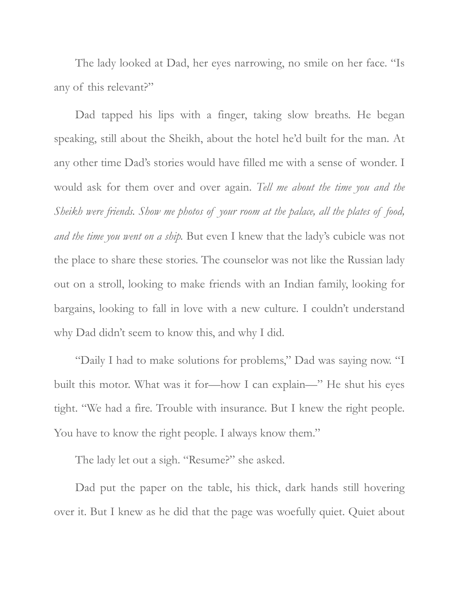The lady looked at Dad, her eyes narrowing, no smile on her face. "Is any of this relevant?"

Dad tapped his lips with a finger, taking slow breaths. He began speaking, still about the Sheikh, about the hotel he'd built for the man. At any other time Dad's stories would have filled me with a sense of wonder. I would ask for them over and over again. *Tell me about the time you and the Sheikh were friends. Show me photos of your room at the palace, all the plates of food, and the time you went on a ship.* But even I knew that the lady's cubicle was not the place to share these stories. The counselor was not like the Russian lady out on a stroll, looking to make friends with an Indian family, looking for bargains, looking to fall in love with a new culture. I couldn't understand why Dad didn't seem to know this, and why I did.

"Daily I had to make solutions for problems," Dad was saying now. "I built this motor. What was it for—how I can explain—" He shut his eyes tight. "We had a fire. Trouble with insurance. But I knew the right people. You have to know the right people. I always know them."

The lady let out a sigh. "Resume?" she asked.

Dad put the paper on the table, his thick, dark hands still hovering over it. But I knew as he did that the page was woefully quiet. Quiet about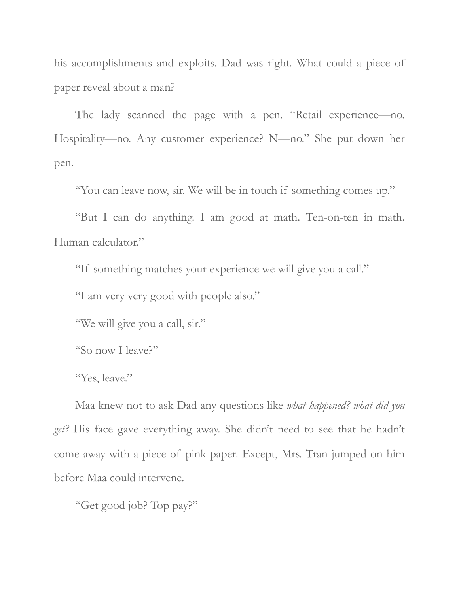his accomplishments and exploits. Dad was right. What could a piece of paper reveal about a man?

The lady scanned the page with a pen. "Retail experience—no. Hospitality—no. Any customer experience? N—no." She put down her pen.

"You can leave now, sir. We will be in touch if something comes up."

"But I can do anything. I am good at math. Ten-on-ten in math. Human calculator."

"If something matches your experience we will give you a call."

"I am very very good with people also."

"We will give you a call, sir."

"So now I leave?"

"Yes, leave."

Maa knew not to ask Dad any questions like *what happened? what did you get?* His face gave everything away. She didn't need to see that he hadn't come away with a piece of pink paper. Except, Mrs. Tran jumped on him before Maa could intervene.

"Get good job? Top pay?"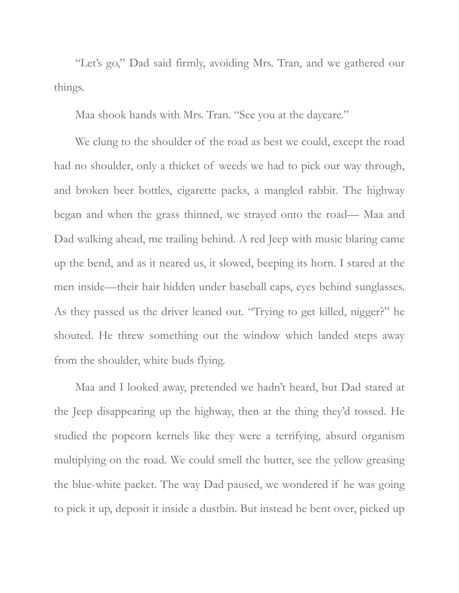"Let's go," Dad said firmly, avoiding Mrs. Tran, and we gathered our things.

Maa shook hands with Mrs. Tran. "See you at the daycare."

We clung to the shoulder of the road as best we could, except the road had no shoulder, only a thicket of weeds we had to pick our way through, and broken beer bottles, cigarette packs, a mangled rabbit. The highway began and when the grass thinned, we strayed onto the road— Maa and Dad walking ahead, me trailing behind. A red Jeep with music blaring came up the bend, and as it neared us, it slowed, beeping its horn. I stared at the men inside—their hair hidden under baseball caps, eyes behind sunglasses. As they passed us the driver leaned out. "Trying to get killed, nigger?" he shouted. He threw something out the window which landed steps away from the shoulder, white buds flying.

Maa and I looked away, pretended we hadn't heard, but Dad stared at the Jeep disappearing up the highway, then at the thing they'd tossed. He studied the popcorn kernels like they were a terrifying, absurd organism multiplying on the road. We could smell the butter, see the yellow greasing the blue-white packet. The way Dad paused, we wondered if he was going to pick it up, deposit it inside a dustbin. But instead he bent over, picked up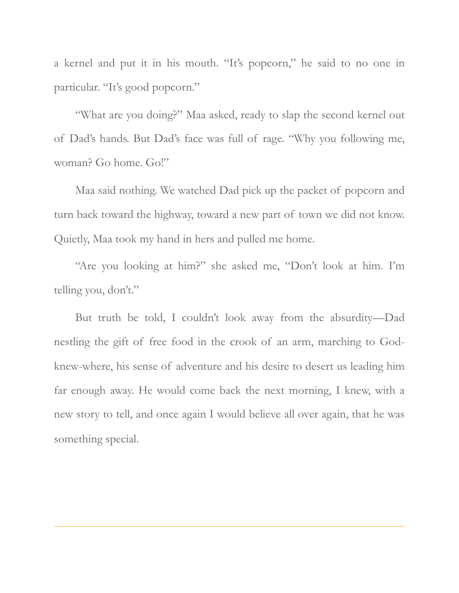a kernel and put it in his mouth. "It's popcorn," he said to no one in particular. "It's good popcorn."

"What are you doing?" Maa asked, ready to slap the second kernel out of Dad's hands. But Dad's face was full of rage. "Why you following me, woman? Go home. Go!"

Maa said nothing. We watched Dad pick up the packet of popcorn and turn back toward the highway, toward a new part of town we did not know. Quietly, Maa took my hand in hers and pulled me home.

"Are you looking at him?" she asked me, "Don't look at him. I'm telling you, don't."

But truth be told, I couldn't look away from the absurdity—Dad nestling the gift of free food in the crook of an arm, marching to Godknew-where, his sense of adventure and his desire to desert us leading him far enough away. He would come back the next morning, I knew, with a new story to tell, and once again I would believe all over again, that he was something special.